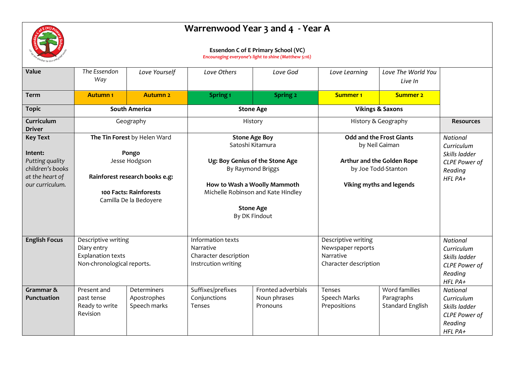

## **Warrenwood Year 3 and 4 - Year A**

## **Essendon C of E Primary School (VC)**

*Encouraging everyone's light to shine (Matthew 5:16)*

| Value                                          | The Essendon<br>Way                                                                          | Love Yourself                                                                      | Love Others                                                                    | Love God                                       | Love Learning                                                                  | Love The World You<br>Live In                   |                                                                                              |
|------------------------------------------------|----------------------------------------------------------------------------------------------|------------------------------------------------------------------------------------|--------------------------------------------------------------------------------|------------------------------------------------|--------------------------------------------------------------------------------|-------------------------------------------------|----------------------------------------------------------------------------------------------|
| <b>Term</b>                                    | <b>Autumn1</b>                                                                               | <b>Autumn 2</b>                                                                    | Spring <sub>1</sub>                                                            | <b>Spring 2</b>                                | <b>Summer 1</b>                                                                | <b>Summer 2</b>                                 |                                                                                              |
| <b>Topic</b>                                   | <b>South America</b>                                                                         |                                                                                    | <b>Stone Age</b>                                                               |                                                | <b>Vikings &amp; Saxons</b>                                                    |                                                 |                                                                                              |
| Curriculum<br><b>Driver</b>                    | Geography                                                                                    |                                                                                    | History                                                                        |                                                | History & Geography                                                            |                                                 | <b>Resources</b>                                                                             |
| <b>Key Text</b>                                | The Tin Forest by Helen Ward                                                                 |                                                                                    | <b>Stone Age Boy</b><br>Satoshi Kitamura                                       |                                                | <b>Odd and the Frost Giants</b><br>by Neil Gaiman                              |                                                 | <b>National</b><br>Curriculum                                                                |
| Intent:<br>Putting quality<br>children's books |                                                                                              | Pongo<br>Jesse Hodgson                                                             | Ug: Boy Genius of the Stone Age<br>By Raymond Briggs                           |                                                | Arthur and the Golden Rope<br>by Joe Todd-Stanton                              |                                                 | Skills ladder<br>CLPE Power of<br>Reading                                                    |
| at the heart of<br>our curriculum.             |                                                                                              | Rainforest research books e.g:<br>100 Facts: Rainforests<br>Camilla De la Bedoyere | How to Wash a Woolly Mammoth<br>Michelle Robinson and Kate Hindley             |                                                | Viking myths and legends                                                       |                                                 | HFL PA+                                                                                      |
|                                                |                                                                                              |                                                                                    | <b>Stone Age</b><br>By DK Findout                                              |                                                |                                                                                |                                                 |                                                                                              |
| <b>English Focus</b>                           | Descriptive writing<br>Diary entry<br><b>Explanation texts</b><br>Non-chronological reports. |                                                                                    | Information texts<br>Narrative<br>Character description<br>Instrcution writing |                                                | Descriptive writing<br>Newspaper reports<br>Narrative<br>Character description |                                                 | <b>National</b><br>Curriculum<br>Skills ladder<br><b>CLPE Power of</b><br>Reading<br>HFL PA+ |
| Grammar &<br><b>Punctuation</b>                | Present and<br>past tense<br>Ready to write<br>Revision                                      | Determiners<br>Apostrophes<br>Speech marks                                         | Suffixes/prefixes<br>Conjunctions<br>Tenses                                    | Fronted adverbials<br>Noun phrases<br>Pronouns | Tenses<br>Speech Marks<br>Prepositions                                         | Word families<br>Paragraphs<br>Standard English | <b>National</b><br>Curriculum<br>Skills ladder<br><b>CLPE Power of</b><br>Reading<br>HFL PA+ |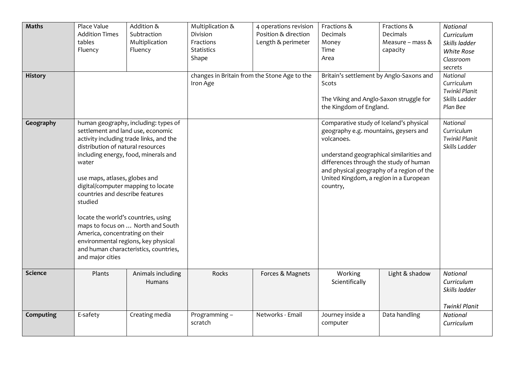| <b>Maths</b><br><b>History</b> | Place Value<br><b>Addition Times</b><br>tables<br>Fluency                                                                                                                                                                                                                                                                                 | Addition &<br>Subtraction<br>Multiplication<br>Fluency                                                                                                                                                | Multiplication &<br>Division<br>Fractions<br>Statistics<br>Shape<br>changes in Britain from the Stone Age to the<br>Iron Age | 4 operations revision<br>Position & direction<br>Length & perimeter | Fractions &<br>Decimals<br>Money<br>Time<br>Area<br>Britain's settlement by Anglo-Saxons and<br>Scots<br>The Viking and Anglo-Saxon struggle for<br>the Kingdom of England.                                                                                                             | Fractions &<br>Decimals<br>Measure - mass &<br>capacity | National<br>Curriculum<br>Skills ladder<br><b>White Rose</b><br>Classroom<br>secrets<br>National<br>Curriculum<br><b>Twinkl Planit</b><br>Skills Ladder<br>Plan Bee |
|--------------------------------|-------------------------------------------------------------------------------------------------------------------------------------------------------------------------------------------------------------------------------------------------------------------------------------------------------------------------------------------|-------------------------------------------------------------------------------------------------------------------------------------------------------------------------------------------------------|------------------------------------------------------------------------------------------------------------------------------|---------------------------------------------------------------------|-----------------------------------------------------------------------------------------------------------------------------------------------------------------------------------------------------------------------------------------------------------------------------------------|---------------------------------------------------------|---------------------------------------------------------------------------------------------------------------------------------------------------------------------|
| Geography                      | settlement and land use, economic<br>distribution of natural resources<br>water<br>use maps, atlases, globes and<br>digital/computer mapping to locate<br>countries and describe features<br>studied<br>locate the world's countries, using<br>America, concentrating on their<br>environmental regions, key physical<br>and major cities | human geography, including: types of<br>activity including trade links, and the<br>including energy, food, minerals and<br>maps to focus on  North and South<br>and human characteristics, countries, |                                                                                                                              |                                                                     | Comparative study of Iceland's physical<br>geography e.g. mountains, geysers and<br>volcanoes.<br>understand geographical similarities and<br>differences through the study of human<br>and physical geography of a region of the<br>United Kingdom, a region in a European<br>country, |                                                         | National<br>Curriculum<br><b>Twinkl Planit</b><br>Skills Ladder                                                                                                     |
| <b>Science</b>                 | Plants                                                                                                                                                                                                                                                                                                                                    | Animals including<br><b>Humans</b>                                                                                                                                                                    | Rocks                                                                                                                        | Forces & Magnets                                                    | Working<br>Scientifically                                                                                                                                                                                                                                                               | Light & shadow                                          | National<br>Curriculum<br>Skills ladder<br><b>Twinkl Planit</b>                                                                                                     |
| Computing                      | E-safety                                                                                                                                                                                                                                                                                                                                  | Creating media                                                                                                                                                                                        | Programming -<br>scratch                                                                                                     | Networks - Email                                                    | Journey inside a<br>computer                                                                                                                                                                                                                                                            | Data handling                                           | <b>National</b><br>Curriculum                                                                                                                                       |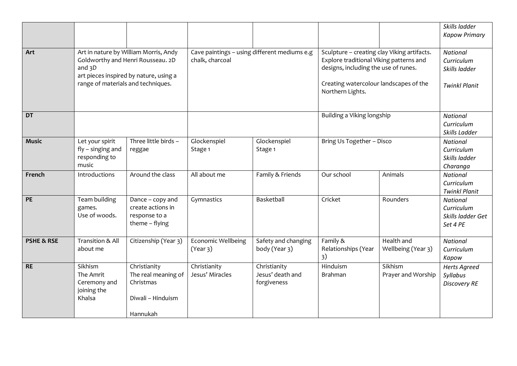|                       |                                                                                                                                                                        |                                                                                   |                                                                 |                                                 |                                                                                                                                                                                              |                                  | Skills ladder<br><b>Kapow Primary</b>                                  |
|-----------------------|------------------------------------------------------------------------------------------------------------------------------------------------------------------------|-----------------------------------------------------------------------------------|-----------------------------------------------------------------|-------------------------------------------------|----------------------------------------------------------------------------------------------------------------------------------------------------------------------------------------------|----------------------------------|------------------------------------------------------------------------|
|                       |                                                                                                                                                                        |                                                                                   |                                                                 |                                                 |                                                                                                                                                                                              |                                  |                                                                        |
| Art                   | Art in nature by William Morris, Andy<br>Goldworthy and Henri Rousseau. 2D<br>and $3D$<br>art pieces inspired by nature, using a<br>range of materials and techniques. |                                                                                   | Cave paintings - using different mediums e.g<br>chalk, charcoal |                                                 | Sculpture - creating clay Viking artifacts.<br>Explore traditional Viking patterns and<br>designs, including the use of runes.<br>Creating watercolour landscapes of the<br>Northern Lights. |                                  | <b>National</b><br>Curriculum<br>Skills ladder<br><b>Twinkl Planit</b> |
| <b>DT</b>             |                                                                                                                                                                        |                                                                                   |                                                                 |                                                 | Building a Viking longship                                                                                                                                                                   |                                  | National<br>Curriculum<br>Skills Ladder                                |
| <b>Music</b>          | Let your spirit<br>$fly - singing$ and<br>responding to<br>music                                                                                                       | Three little birds -<br>reggae                                                    | Glockenspiel<br>Stage 1                                         | Glockenspiel<br>Stage 1                         | Bring Us Together - Disco                                                                                                                                                                    |                                  | <b>National</b><br>Curriculum<br>Skills ladder<br>Charanga             |
| French                | Introductions                                                                                                                                                          | Around the class                                                                  | All about me                                                    | Family & Friends                                | Our school                                                                                                                                                                                   | Animals                          | <b>National</b><br>Curriculum<br><b>Twinkl Planit</b>                  |
| PE                    | Team building<br>games.<br>Use of woods.                                                                                                                               | Dance - copy and<br>create actions in<br>response to a<br>theme - flying          | Gymnastics                                                      | Basketball                                      | Cricket                                                                                                                                                                                      | Rounders                         | <b>National</b><br>Curriculum<br>Skills ladder Get<br>Set 4 PE         |
| <b>PSHE &amp; RSE</b> | Transition & All<br>about me                                                                                                                                           | Citizenship (Year 3)                                                              | <b>Economic Wellbeing</b><br>(Year 3)                           | Safety and changing<br>body (Year 3)            | Family &<br>Relationships (Year<br>3)                                                                                                                                                        | Health and<br>Wellbeing (Year 3) | <b>National</b><br>Curriculum<br>Kapow                                 |
| <b>RE</b>             | Sikhism<br>The Amrit<br>Ceremony and<br>joining the<br>Khalsa                                                                                                          | Christianity<br>The real meaning of<br>Christmas<br>Diwali - Hinduism<br>Hannukah | Christianity<br>Jesus' Miracles                                 | Christianity<br>Jesus' death and<br>forgiveness | Hinduism<br>Brahman                                                                                                                                                                          | Sikhism<br>Prayer and Worship    | <b>Herts Agreed</b><br>Syllabus<br><b>Discovery RE</b>                 |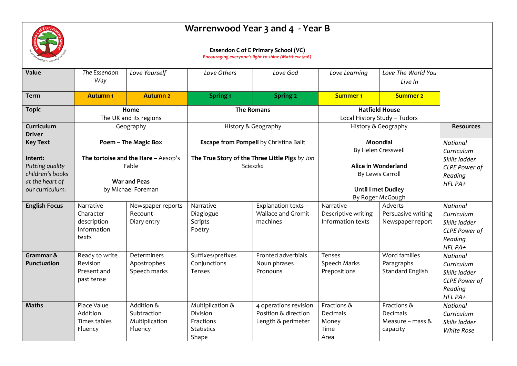

## **Warrenwood Year 3 and 4 - Year B**

## **Essendon C of E Primary School (VC)**

*Encouraging everyone's light to shine (Matthew 5:16)*

| Value                                                             | The Essendon<br>Way                                                 | Love Yourself                                          | Love Others                                                             | Love God                                                            | Love Learning                                         | Love The World You<br>Live In                              |                                                                                                  |
|-------------------------------------------------------------------|---------------------------------------------------------------------|--------------------------------------------------------|-------------------------------------------------------------------------|---------------------------------------------------------------------|-------------------------------------------------------|------------------------------------------------------------|--------------------------------------------------------------------------------------------------|
| <b>Term</b>                                                       | <b>Autumn1</b>                                                      | <b>Autumn 2</b>                                        | Spring <sub>1</sub>                                                     | Spring 2                                                            | <b>Summer 1</b>                                       | <b>Summer 2</b>                                            |                                                                                                  |
| <b>Topic</b>                                                      | Home<br>The UK and its regions                                      |                                                        | <b>The Romans</b>                                                       |                                                                     | <b>Hatfield House</b><br>Local History Study - Tudors |                                                            |                                                                                                  |
| Curriculum<br><b>Driver</b>                                       | Geography                                                           |                                                        | History & Geography                                                     |                                                                     | History & Geography                                   |                                                            | <b>Resources</b>                                                                                 |
| <b>Key Text</b>                                                   | Poem - The Magic Box                                                |                                                        | Escape from Pompeii by Christina Balit                                  |                                                                     | Moondial<br>By Helen Cresswell                        |                                                            | <b>National</b><br>Curriculum                                                                    |
| Intent:<br>Putting quality<br>children's books<br>at the heart of | The tortoise and the Hare - Aesop's<br>Fable<br><b>War and Peas</b> |                                                        | The True Story of the Three Little Pigs by Jon<br>Scieszka              |                                                                     | Alice in Wonderland<br>By Lewis Carroll               |                                                            | Skills ladder<br>CLPE Power of<br>Reading<br>HFL PA+                                             |
| our curriculum.                                                   | by Michael Foreman                                                  |                                                        |                                                                         |                                                                     | <b>Until I met Dudley</b><br>By Roger McGough         |                                                            |                                                                                                  |
| <b>English Focus</b>                                              | Narrative<br>Character<br>description<br>Information<br>texts       | Newspaper reports<br>Recount<br>Diary entry            | Narrative<br>Diaglogue<br>Scripts<br>Poetry                             | Explanation texts -<br><b>Wallace and Gromit</b><br>machines        | Narrative<br>Descriptive writing<br>Information texts | Adverts<br>Persuasive writing<br>Newspaper report          | <b>National</b><br>Curriculum<br>Skills ladder<br><b>CLPE Power of</b><br>Reading<br>$HFL$ $PA+$ |
| Grammar &<br>Punctuation                                          | Ready to write<br>Revision<br>Present and<br>past tense             | Determiners<br>Apostrophes<br>Speech marks             | Suffixes/prefixes<br>Conjunctions<br>Tenses                             | Fronted adverbials<br>Noun phrases<br>Pronouns                      | Tenses<br>Speech Marks<br>Prepositions                | Word families<br>Paragraphs<br>Standard English            | <b>National</b><br>Curriculum<br>Skills ladder<br><b>CLPE Power of</b><br>Reading<br>HFL PA+     |
| <b>Maths</b>                                                      | Place Value<br>Addition<br>Times tables<br>Fluency                  | Addition &<br>Subtraction<br>Multiplication<br>Fluency | Multiplication &<br>Division<br>Fractions<br><b>Statistics</b><br>Shape | 4 operations revision<br>Position & direction<br>Length & perimeter | Fractions &<br>Decimals<br>Money<br>Time<br>Area      | Fractions &<br>Decimals<br>Measure – mass $\&$<br>capacity | <b>National</b><br>Curriculum<br>Skills ladder<br><b>White Rose</b>                              |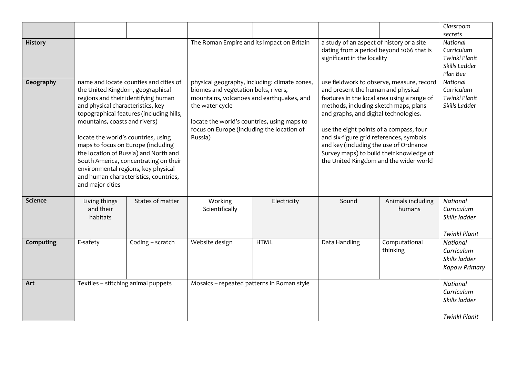|                |                                                                                                                                                                                                                                                                                                                                                                                                                                                                                                        |                  |                                                                                                                                                                                                                                                               |             |                                                                                                                                                                                                                                                                                                                                                                                                                                        |                             | Classroom<br>secrets                                                        |
|----------------|--------------------------------------------------------------------------------------------------------------------------------------------------------------------------------------------------------------------------------------------------------------------------------------------------------------------------------------------------------------------------------------------------------------------------------------------------------------------------------------------------------|------------------|---------------------------------------------------------------------------------------------------------------------------------------------------------------------------------------------------------------------------------------------------------------|-------------|----------------------------------------------------------------------------------------------------------------------------------------------------------------------------------------------------------------------------------------------------------------------------------------------------------------------------------------------------------------------------------------------------------------------------------------|-----------------------------|-----------------------------------------------------------------------------|
| <b>History</b> |                                                                                                                                                                                                                                                                                                                                                                                                                                                                                                        |                  | The Roman Empire and its impact on Britain                                                                                                                                                                                                                    |             | a study of an aspect of history or a site<br>dating from a period beyond 1066 that is<br>significant in the locality                                                                                                                                                                                                                                                                                                                   |                             | National<br>Curriculum<br><b>Twinkl Planit</b><br>Skills Ladder<br>Plan Bee |
| Geography      | name and locate counties and cities of<br>the United Kingdom, geographical<br>regions and their identifying human<br>and physical characteristics, key<br>topographical features (including hills,<br>mountains, coasts and rivers)<br>locate the world's countries, using<br>maps to focus on Europe (including<br>the location of Russia) and North and<br>South America, concentrating on their<br>environmental regions, key physical<br>and human characteristics, countries,<br>and major cities |                  | physical geography, including: climate zones,<br>biomes and vegetation belts, rivers,<br>mountains, volcanoes and earthquakes, and<br>the water cycle<br>locate the world's countries, using maps to<br>focus on Europe (including the location of<br>Russia) |             | use fieldwork to observe, measure, record<br>and present the human and physical<br>features in the local area using a range of<br>methods, including sketch maps, plans<br>and graphs, and digital technologies.<br>use the eight points of a compass, four<br>and six-figure grid references, symbols<br>and key (including the use of Ordnance<br>Survey maps) to build their knowledge of<br>the United Kingdom and the wider world |                             | National<br>Curriculum<br><b>Twinkl Planit</b><br>Skills Ladder             |
| <b>Science</b> | Living things<br>and their<br>habitats                                                                                                                                                                                                                                                                                                                                                                                                                                                                 | States of matter | Working<br>Scientifically                                                                                                                                                                                                                                     | Electricity | Sound                                                                                                                                                                                                                                                                                                                                                                                                                                  | Animals including<br>humans | National<br>Curriculum<br>Skills ladder<br><b>Twinkl Planit</b>             |
| Computing      | E-safety                                                                                                                                                                                                                                                                                                                                                                                                                                                                                               | Coding - scratch | Website design                                                                                                                                                                                                                                                | <b>HTML</b> | Data Handling                                                                                                                                                                                                                                                                                                                                                                                                                          | Computational<br>thinking   | <b>National</b><br>Curriculum<br>Skills ladder<br><b>Kapow Primary</b>      |
| Art            | Textiles - stitching animal puppets                                                                                                                                                                                                                                                                                                                                                                                                                                                                    |                  | Mosaics - repeated patterns in Roman style                                                                                                                                                                                                                    |             |                                                                                                                                                                                                                                                                                                                                                                                                                                        |                             | National<br>Curriculum<br>Skills ladder<br><b>Twinkl Planit</b>             |